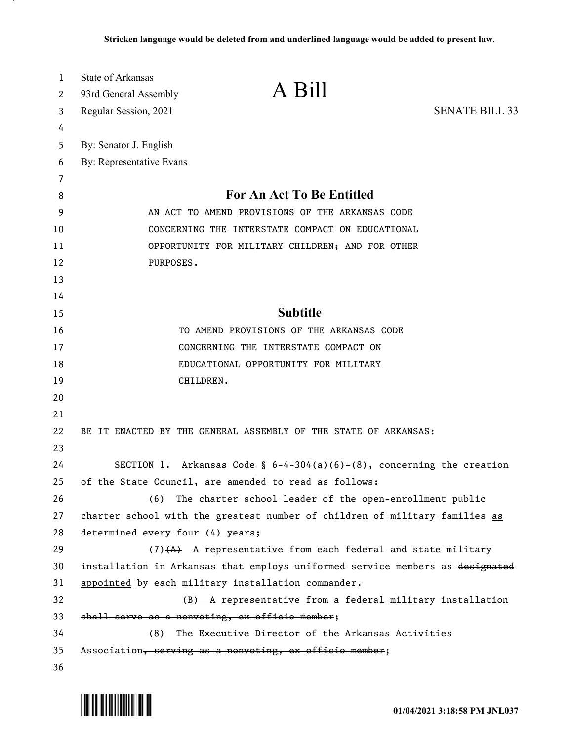| 1  | <b>State of Arkansas</b>                                                    |                                                                               |                       |
|----|-----------------------------------------------------------------------------|-------------------------------------------------------------------------------|-----------------------|
| 2  | 93rd General Assembly                                                       | A Bill                                                                        |                       |
| 3  | Regular Session, 2021                                                       |                                                                               | <b>SENATE BILL 33</b> |
| 4  |                                                                             |                                                                               |                       |
| 5  | By: Senator J. English                                                      |                                                                               |                       |
| 6  | By: Representative Evans                                                    |                                                                               |                       |
| 7  |                                                                             |                                                                               |                       |
| 8  | For An Act To Be Entitled                                                   |                                                                               |                       |
| 9  | AN ACT TO AMEND PROVISIONS OF THE ARKANSAS CODE                             |                                                                               |                       |
| 10 | CONCERNING THE INTERSTATE COMPACT ON EDUCATIONAL                            |                                                                               |                       |
| 11 | OPPORTUNITY FOR MILITARY CHILDREN; AND FOR OTHER                            |                                                                               |                       |
| 12 | PURPOSES.                                                                   |                                                                               |                       |
| 13 |                                                                             |                                                                               |                       |
| 14 |                                                                             |                                                                               |                       |
| 15 |                                                                             | <b>Subtitle</b>                                                               |                       |
| 16 |                                                                             | TO AMEND PROVISIONS OF THE ARKANSAS CODE                                      |                       |
| 17 |                                                                             | CONCERNING THE INTERSTATE COMPACT ON                                          |                       |
| 18 |                                                                             | EDUCATIONAL OPPORTUNITY FOR MILITARY                                          |                       |
| 19 | CHILDREN.                                                                   |                                                                               |                       |
| 20 |                                                                             |                                                                               |                       |
| 21 |                                                                             |                                                                               |                       |
| 22 |                                                                             | BE IT ENACTED BY THE GENERAL ASSEMBLY OF THE STATE OF ARKANSAS:               |                       |
| 23 |                                                                             |                                                                               |                       |
| 24 |                                                                             | SECTION 1. Arkansas Code § $6-4-304(a)(6)-(8)$ , concerning the creation      |                       |
| 25 | of the State Council, are amended to read as follows:                       |                                                                               |                       |
| 26 | (6)                                                                         | The charter school leader of the open-enrollment public                       |                       |
| 27 | charter school with the greatest number of children of military families as |                                                                               |                       |
| 28 | determined every four (4) years;                                            |                                                                               |                       |
| 29 |                                                                             | $(7)$ $(4)$ A representative from each federal and state military             |                       |
| 30 |                                                                             | installation in Arkansas that employs uniformed service members as designated |                       |
| 31 |                                                                             | appointed by each military installation commander-                            |                       |
| 32 |                                                                             | (B) A representative from a federal military installation                     |                       |
| 33 |                                                                             | shall serve as a nonvoting, ex officio member;                                |                       |
| 34 | (8)                                                                         | The Executive Director of the Arkansas Activities                             |                       |
| 35 |                                                                             | Association, serving as a nonvoting, ex officio member;                       |                       |
| 36 |                                                                             |                                                                               |                       |